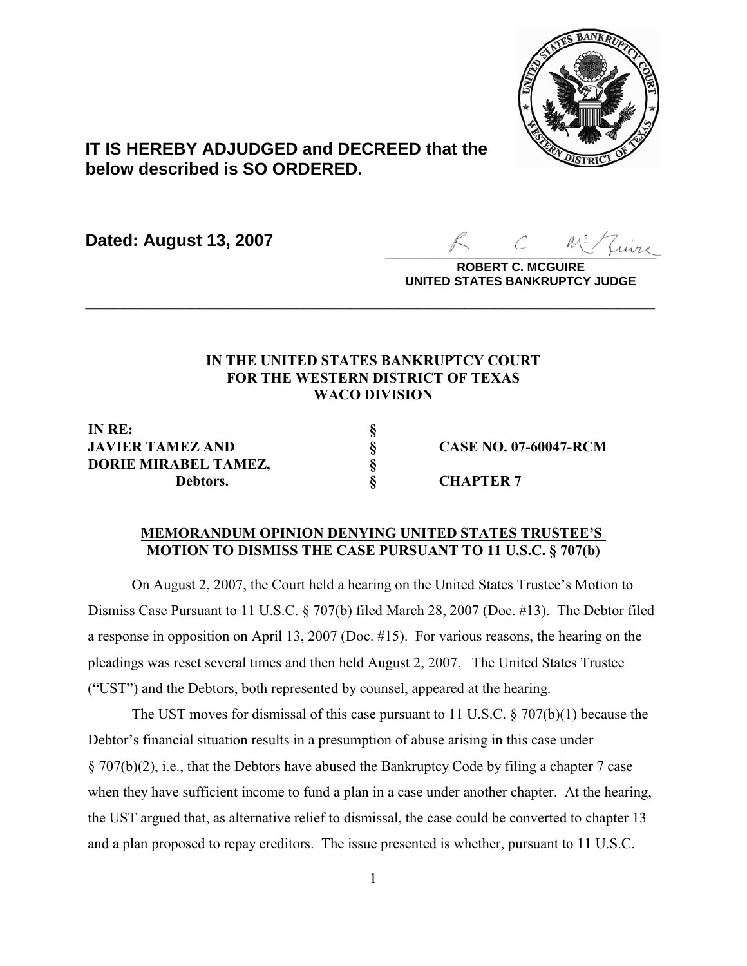

# **IT IS HEREBY ADJUDGED and DECREED that the below described is SO ORDERED.**

**Dated: August 13, 2007**

 $\overline{\mathcal{L}}$ uire

**ROBERT C. MCGUIRE UNITED STATES BANKRUPTCY JUDGE**

## **IN THE UNITED STATES BANKRUPTCY COURT FOR THE WESTERN DISTRICT OF TEXAS WACO DIVISION**

**\_\_\_\_\_\_\_\_\_\_\_\_\_\_\_\_\_\_\_\_\_\_\_\_\_\_\_\_\_\_\_\_\_\_\_\_\_\_\_\_\_\_\_\_\_\_\_\_\_\_\_\_\_\_\_\_\_\_\_\_**

**IN RE: § JAVIER TAMEZ AND § CASE NO. 07-60047-RCM DORIE MIRABEL TAMEZ, § Debtors. § CHAPTER 7**

### **MEMORANDUM OPINION DENYING UNITED STATES TRUSTEE'S MOTION TO DISMISS THE CASE PURSUANT TO 11 U.S.C. § 707(b)**

On August 2, 2007, the Court held a hearing on the United States Trustee's Motion to Dismiss Case Pursuant to 11 U.S.C. § 707(b) filed March 28, 2007 (Doc. #13). The Debtor filed a response in opposition on April 13, 2007 (Doc. #15). For various reasons, the hearing on the pleadings was reset several times and then held August 2, 2007. The United States Trustee ("UST") and the Debtors, both represented by counsel, appeared at the hearing.

The UST moves for dismissal of this case pursuant to 11 U.S.C.  $\S 707(b)(1)$  because the Debtor's financial situation results in a presumption of abuse arising in this case under § 707(b)(2), i.e., that the Debtors have abused the Bankruptcy Code by filing a chapter 7 case when they have sufficient income to fund a plan in a case under another chapter. At the hearing, the UST argued that, as alternative relief to dismissal, the case could be converted to chapter 13 and a plan proposed to repay creditors. The issue presented is whether, pursuant to 11 U.S.C.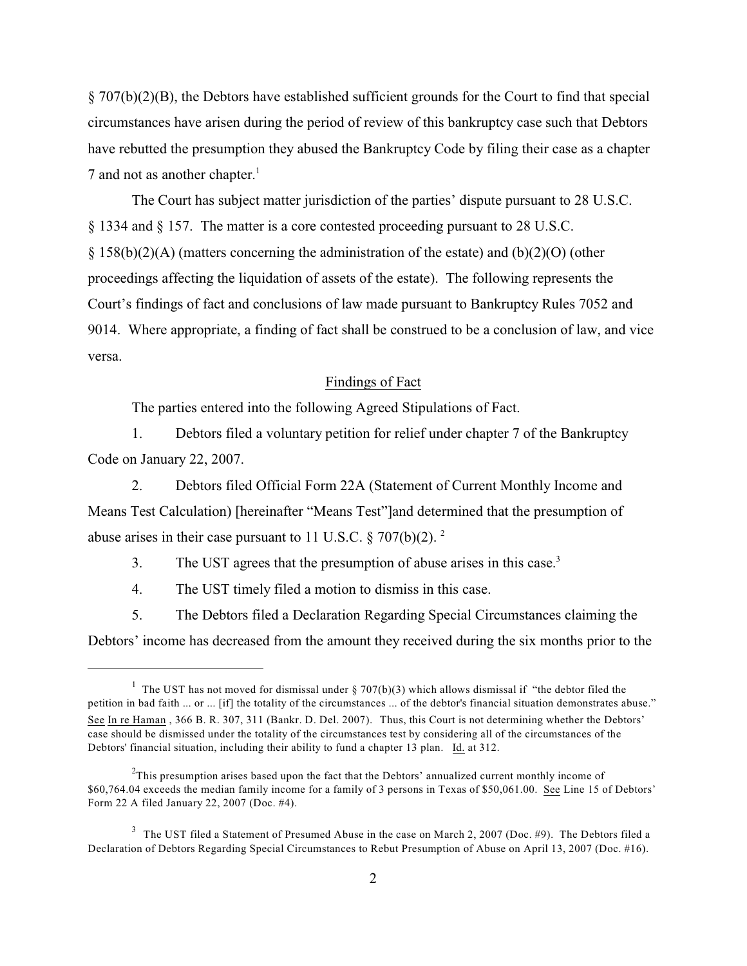§ 707(b)(2)(B), the Debtors have established sufficient grounds for the Court to find that special circumstances have arisen during the period of review of this bankruptcy case such that Debtors have rebutted the presumption they abused the Bankruptcy Code by filing their case as a chapter 7 and not as another chapter. 1

The Court has subject matter jurisdiction of the parties' dispute pursuant to 28 U.S.C. § 1334 and § 157. The matter is a core contested proceeding pursuant to 28 U.S.C. § 158(b)(2)(A) (matters concerning the administration of the estate) and (b)(2)(O) (other proceedings affecting the liquidation of assets of the estate). The following represents the Court's findings of fact and conclusions of law made pursuant to Bankruptcy Rules 7052 and 9014. Where appropriate, a finding of fact shall be construed to be a conclusion of law, and vice versa.

### Findings of Fact

The parties entered into the following Agreed Stipulations of Fact.

1. Debtors filed a voluntary petition for relief under chapter 7 of the Bankruptcy Code on January 22, 2007.

2. Debtors filed Official Form 22A (Statement of Current Monthly Income and Means Test Calculation) [hereinafter "Means Test"]and determined that the presumption of abuse arises in their case pursuant to 11 U.S.C.  $\S 707(b)(2)$ .<sup>2</sup>

3. The UST agrees that the presumption of abuse arises in this case.<sup>3</sup>

4. The UST timely filed a motion to dismiss in this case.

5. The Debtors filed a Declaration Regarding Special Circumstances claiming the Debtors' income has decreased from the amount they received during the six months prior to the

<sup>&</sup>lt;sup>1</sup> The UST has not moved for dismissal under § 707(b)(3) which allows dismissal if "the debtor filed the petition in bad faith ... or ... [if] the totality of the circumstances ... of the debtor's financial situation demonstrates abuse." See In re Haman , 366 B. R. 307, 311 (Bankr. D. Del. 2007). Thus, this Court is not determining whether the Debtors' case should be dismissed under the totality of the circumstances test by considering all of the circumstances of the Debtors' financial situation, including their ability to fund a chapter 13 plan. Id. at 312.

 $<sup>2</sup>$ This presumption arises based upon the fact that the Debtors' annualized current monthly income of</sup> \$60,764.04 exceeds the median family income for a family of 3 persons in Texas of \$50,061.00. See Line 15 of Debtors' Form 22 A filed January 22, 2007 (Doc. #4).

 $3$  The UST filed a Statement of Presumed Abuse in the case on March 2, 2007 (Doc. #9). The Debtors filed a Declaration of Debtors Regarding Special Circumstances to Rebut Presumption of Abuse on April 13, 2007 (Doc. #16).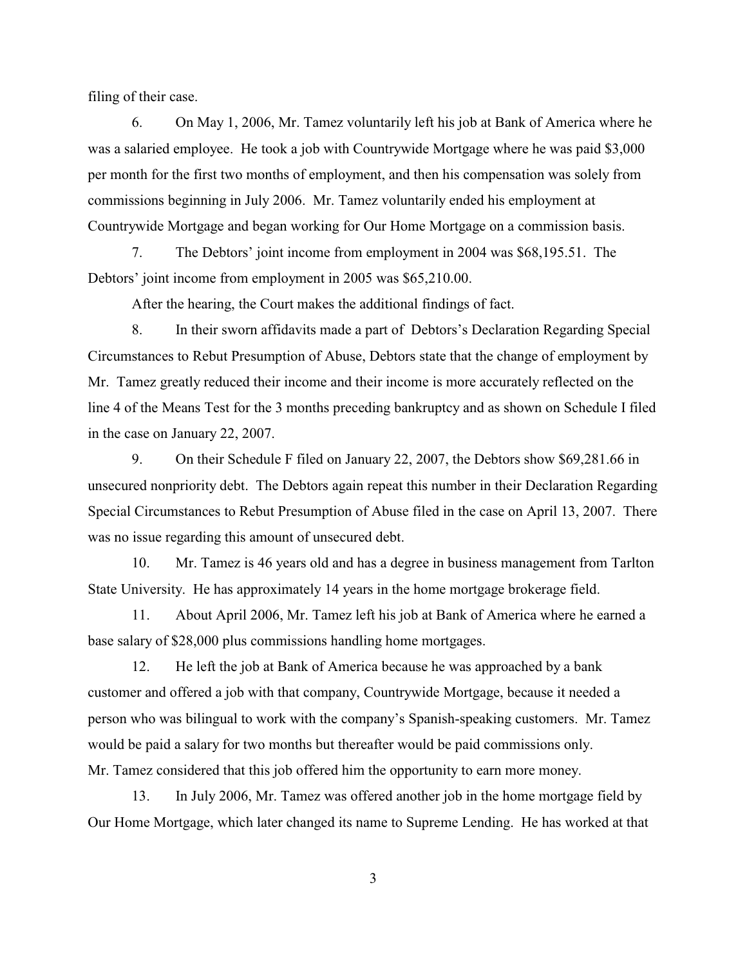filing of their case.

6. On May 1, 2006, Mr. Tamez voluntarily left his job at Bank of America where he was a salaried employee. He took a job with Countrywide Mortgage where he was paid \$3,000 per month for the first two months of employment, and then his compensation was solely from commissions beginning in July 2006. Mr. Tamez voluntarily ended his employment at Countrywide Mortgage and began working for Our Home Mortgage on a commission basis.

7. The Debtors' joint income from employment in 2004 was \$68,195.51. The Debtors' joint income from employment in 2005 was \$65,210.00.

After the hearing, the Court makes the additional findings of fact.

8. In their sworn affidavits made a part of Debtors's Declaration Regarding Special Circumstances to Rebut Presumption of Abuse, Debtors state that the change of employment by Mr. Tamez greatly reduced their income and their income is more accurately reflected on the line 4 of the Means Test for the 3 months preceding bankruptcy and as shown on Schedule I filed in the case on January 22, 2007.

9. On their Schedule F filed on January 22, 2007, the Debtors show \$69,281.66 in unsecured nonpriority debt. The Debtors again repeat this number in their Declaration Regarding Special Circumstances to Rebut Presumption of Abuse filed in the case on April 13, 2007. There was no issue regarding this amount of unsecured debt.

10. Mr. Tamez is 46 years old and has a degree in business management from Tarlton State University. He has approximately 14 years in the home mortgage brokerage field.

11. About April 2006, Mr. Tamez left his job at Bank of America where he earned a base salary of \$28,000 plus commissions handling home mortgages.

12. He left the job at Bank of America because he was approached by a bank customer and offered a job with that company, Countrywide Mortgage, because it needed a person who was bilingual to work with the company's Spanish-speaking customers. Mr. Tamez would be paid a salary for two months but thereafter would be paid commissions only. Mr. Tamez considered that this job offered him the opportunity to earn more money.

13. In July 2006, Mr. Tamez was offered another job in the home mortgage field by Our Home Mortgage, which later changed its name to Supreme Lending. He has worked at that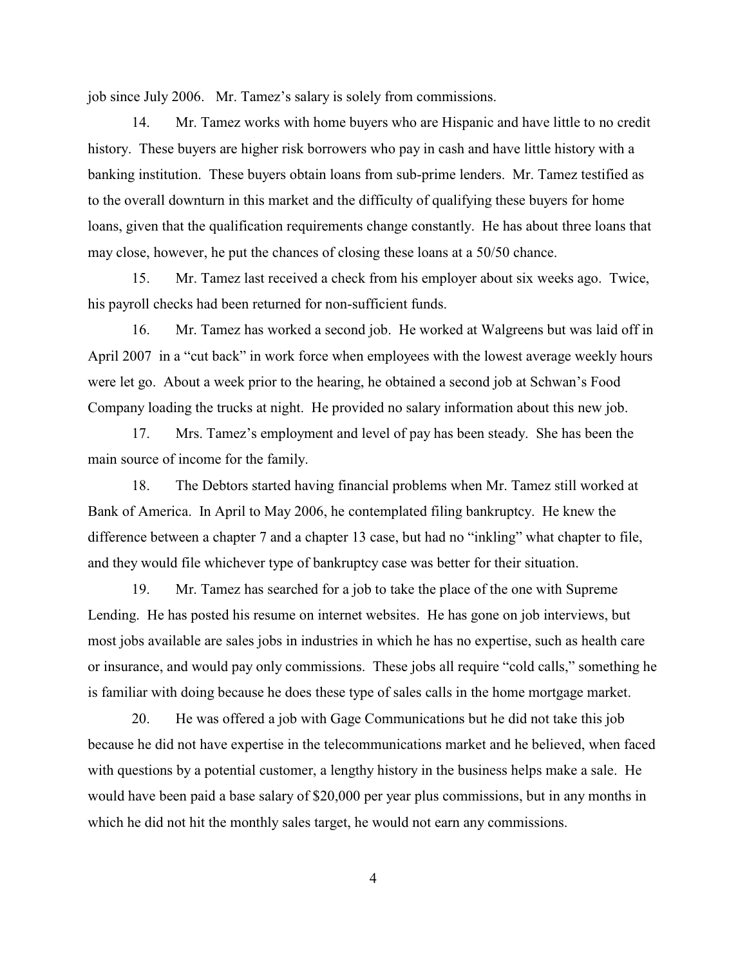job since July 2006. Mr. Tamez's salary is solely from commissions.

14. Mr. Tamez works with home buyers who are Hispanic and have little to no credit history. These buyers are higher risk borrowers who pay in cash and have little history with a banking institution. These buyers obtain loans from sub-prime lenders. Mr. Tamez testified as to the overall downturn in this market and the difficulty of qualifying these buyers for home loans, given that the qualification requirements change constantly. He has about three loans that may close, however, he put the chances of closing these loans at a 50/50 chance.

15. Mr. Tamez last received a check from his employer about six weeks ago. Twice, his payroll checks had been returned for non-sufficient funds.

16. Mr. Tamez has worked a second job. He worked at Walgreens but was laid off in April 2007 in a "cut back" in work force when employees with the lowest average weekly hours were let go. About a week prior to the hearing, he obtained a second job at Schwan's Food Company loading the trucks at night. He provided no salary information about this new job.

17. Mrs. Tamez's employment and level of pay has been steady. She has been the main source of income for the family.

18. The Debtors started having financial problems when Mr. Tamez still worked at Bank of America. In April to May 2006, he contemplated filing bankruptcy. He knew the difference between a chapter 7 and a chapter 13 case, but had no "inkling" what chapter to file, and they would file whichever type of bankruptcy case was better for their situation.

19. Mr. Tamez has searched for a job to take the place of the one with Supreme Lending. He has posted his resume on internet websites. He has gone on job interviews, but most jobs available are sales jobs in industries in which he has no expertise, such as health care or insurance, and would pay only commissions. These jobs all require "cold calls," something he is familiar with doing because he does these type of sales calls in the home mortgage market.

20. He was offered a job with Gage Communications but he did not take this job because he did not have expertise in the telecommunications market and he believed, when faced with questions by a potential customer, a lengthy history in the business helps make a sale. He would have been paid a base salary of \$20,000 per year plus commissions, but in any months in which he did not hit the monthly sales target, he would not earn any commissions.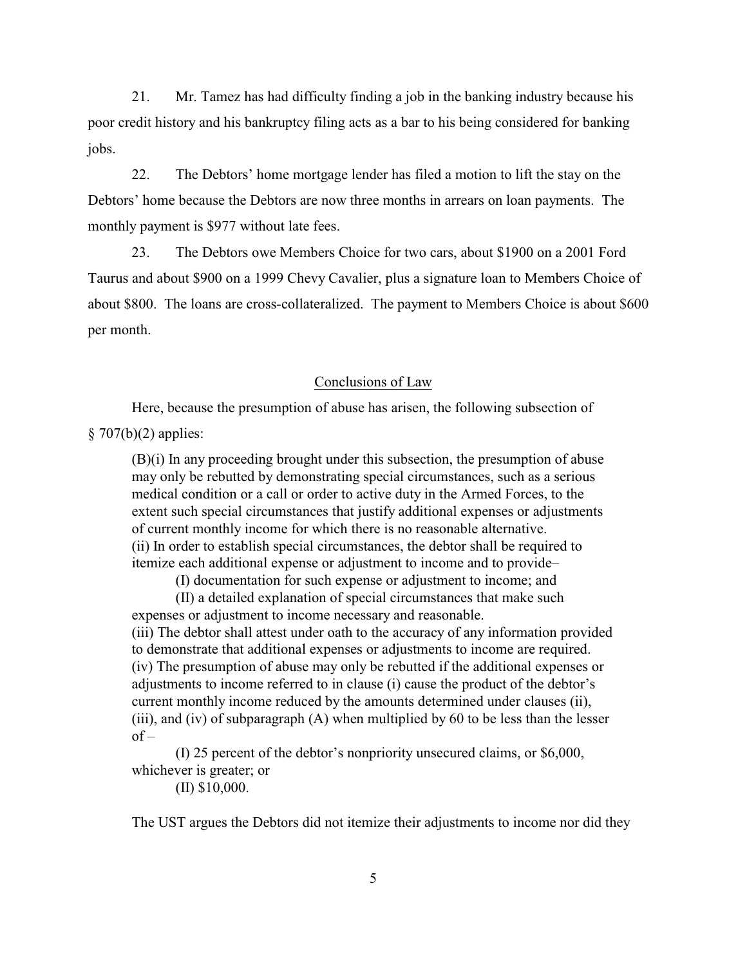21. Mr. Tamez has had difficulty finding a job in the banking industry because his poor credit history and his bankruptcy filing acts as a bar to his being considered for banking jobs.

22. The Debtors' home mortgage lender has filed a motion to lift the stay on the Debtors' home because the Debtors are now three months in arrears on loan payments. The monthly payment is \$977 without late fees.

23. The Debtors owe Members Choice for two cars, about \$1900 on a 2001 Ford Taurus and about \$900 on a 1999 Chevy Cavalier, plus a signature loan to Members Choice of about \$800. The loans are cross-collateralized. The payment to Members Choice is about \$600 per month.

#### Conclusions of Law

Here, because the presumption of abuse has arisen, the following subsection of  $§ 707(b)(2)$  applies:

(B)(i) In any proceeding brought under this subsection, the presumption of abuse may only be rebutted by demonstrating special circumstances, such as a serious medical condition or a call or order to active duty in the Armed Forces, to the extent such special circumstances that justify additional expenses or adjustments of current monthly income for which there is no reasonable alternative. (ii) In order to establish special circumstances, the debtor shall be required to itemize each additional expense or adjustment to income and to provide–

(I) documentation for such expense or adjustment to income; and

(II) a detailed explanation of special circumstances that make such expenses or adjustment to income necessary and reasonable. (iii) The debtor shall attest under oath to the accuracy of any information provided to demonstrate that additional expenses or adjustments to income are required.

(iv) The presumption of abuse may only be rebutted if the additional expenses or adjustments to income referred to in clause (i) cause the product of the debtor's current monthly income reduced by the amounts determined under clauses (ii), (iii), and (iv) of subparagraph  $(A)$  when multiplied by 60 to be less than the lesser  $of -$ 

(I) 25 percent of the debtor's nonpriority unsecured claims, or \$6,000, whichever is greater; or

(II) \$10,000.

The UST argues the Debtors did not itemize their adjustments to income nor did they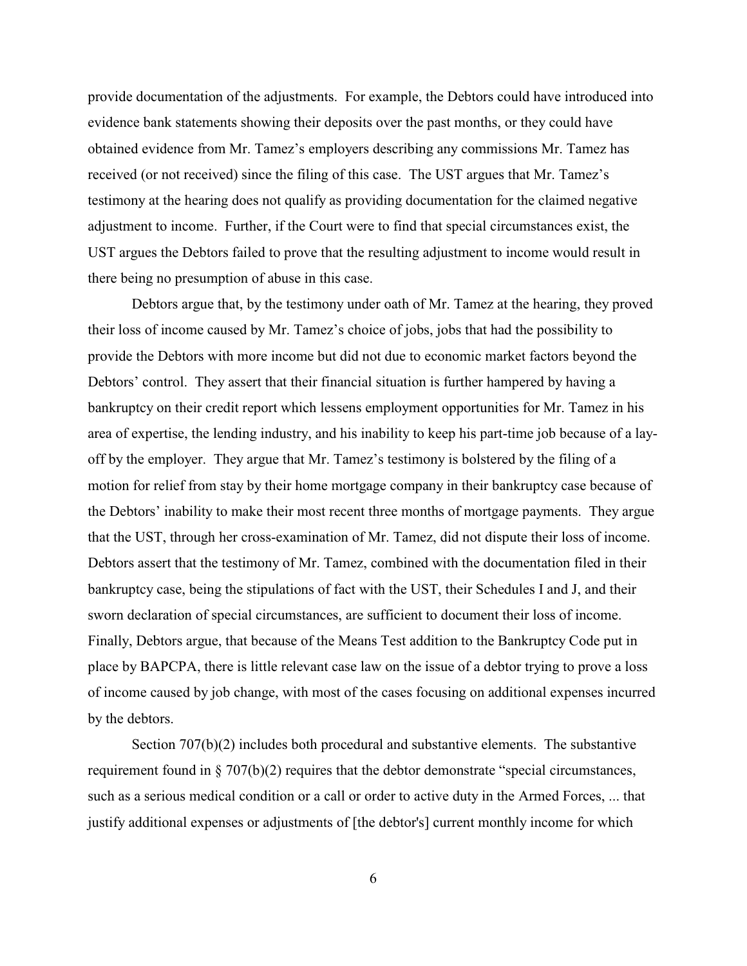provide documentation of the adjustments. For example, the Debtors could have introduced into evidence bank statements showing their deposits over the past months, or they could have obtained evidence from Mr. Tamez's employers describing any commissions Mr. Tamez has received (or not received) since the filing of this case. The UST argues that Mr. Tamez's testimony at the hearing does not qualify as providing documentation for the claimed negative adjustment to income. Further, if the Court were to find that special circumstances exist, the UST argues the Debtors failed to prove that the resulting adjustment to income would result in there being no presumption of abuse in this case.

Debtors argue that, by the testimony under oath of Mr. Tamez at the hearing, they proved their loss of income caused by Mr. Tamez's choice of jobs, jobs that had the possibility to provide the Debtors with more income but did not due to economic market factors beyond the Debtors' control. They assert that their financial situation is further hampered by having a bankruptcy on their credit report which lessens employment opportunities for Mr. Tamez in his area of expertise, the lending industry, and his inability to keep his part-time job because of a layoff by the employer. They argue that Mr. Tamez's testimony is bolstered by the filing of a motion for relief from stay by their home mortgage company in their bankruptcy case because of the Debtors' inability to make their most recent three months of mortgage payments. They argue that the UST, through her cross-examination of Mr. Tamez, did not dispute their loss of income. Debtors assert that the testimony of Mr. Tamez, combined with the documentation filed in their bankruptcy case, being the stipulations of fact with the UST, their Schedules I and J, and their sworn declaration of special circumstances, are sufficient to document their loss of income. Finally, Debtors argue, that because of the Means Test addition to the Bankruptcy Code put in place by BAPCPA, there is little relevant case law on the issue of a debtor trying to prove a loss of income caused by job change, with most of the cases focusing on additional expenses incurred by the debtors.

Section 707(b)(2) includes both procedural and substantive elements. The substantive requirement found in § 707(b)(2) requires that the debtor demonstrate "special circumstances, such as a serious medical condition or a call or order to active duty in the Armed Forces, ... that justify additional expenses or adjustments of [the debtor's] current monthly income for which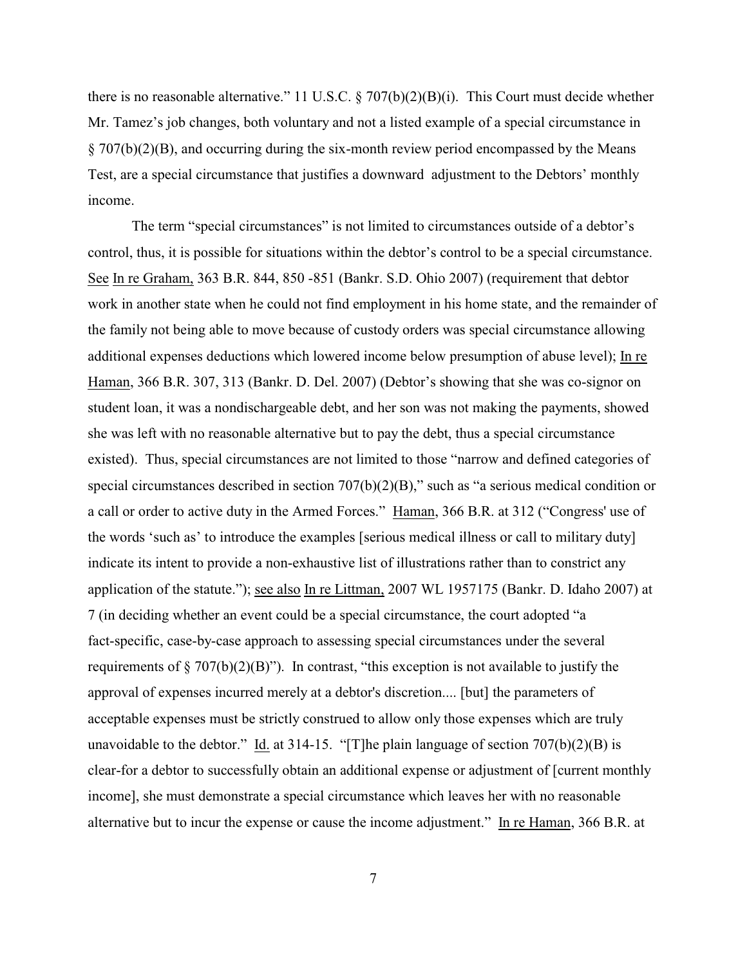there is no reasonable alternative." 11 U.S.C. § 707(b)(2)(B)(i). This Court must decide whether Mr. Tamez's job changes, both voluntary and not a listed example of a special circumstance in § 707(b)(2)(B), and occurring during the six-month review period encompassed by the Means Test, are a special circumstance that justifies a downward adjustment to the Debtors' monthly income.

The term "special circumstances" is not limited to circumstances outside of a debtor's control, thus, it is possible for situations within the debtor's control to be a special circumstance. See In re Graham, 363 B.R. 844, 850 -851 (Bankr. S.D. Ohio 2007) (requirement that debtor work in another state when he could not find employment in his home state, and the remainder of the family not being able to move because of custody orders was special circumstance allowing additional expenses deductions which lowered income below presumption of abuse level); In re Haman, 366 B.R. 307, 313 (Bankr. D. Del. 2007) (Debtor's showing that she was co-signor on student loan, it was a nondischargeable debt, and her son was not making the payments, showed she was left with no reasonable alternative but to pay the debt, thus a special circumstance existed). Thus, special circumstances are not limited to those "narrow and defined categories of special circumstances described in section 707(b)(2)(B)," such as "a serious medical condition or a call or order to active duty in the Armed Forces." Haman, 366 B.R. at 312 ("Congress' use of the words 'such as' to introduce the examples [serious medical illness or call to military duty] indicate its intent to provide a non-exhaustive list of illustrations rather than to constrict any application of the statute."); see also In re Littman, 2007 WL 1957175 (Bankr. D. Idaho 2007) at 7 (in deciding whether an event could be a special circumstance, the court adopted "a fact-specific, case-by-case approach to assessing special circumstances under the several requirements of  $\S 707(b)(2)(B)$ "). In contrast, "this exception is not available to justify the approval of expenses incurred merely at a debtor's discretion.... [but] the parameters of acceptable expenses must be strictly construed to allow only those expenses which are truly unavoidable to the debtor." Id. at 314-15. "[T]he plain language of section  $707(b)(2)(B)$  is clear-for a debtor to successfully obtain an additional expense or adjustment of [current monthly income], she must demonstrate a special circumstance which leaves her with no reasonable alternative but to incur the expense or cause the income adjustment." In re Haman, 366 B.R. at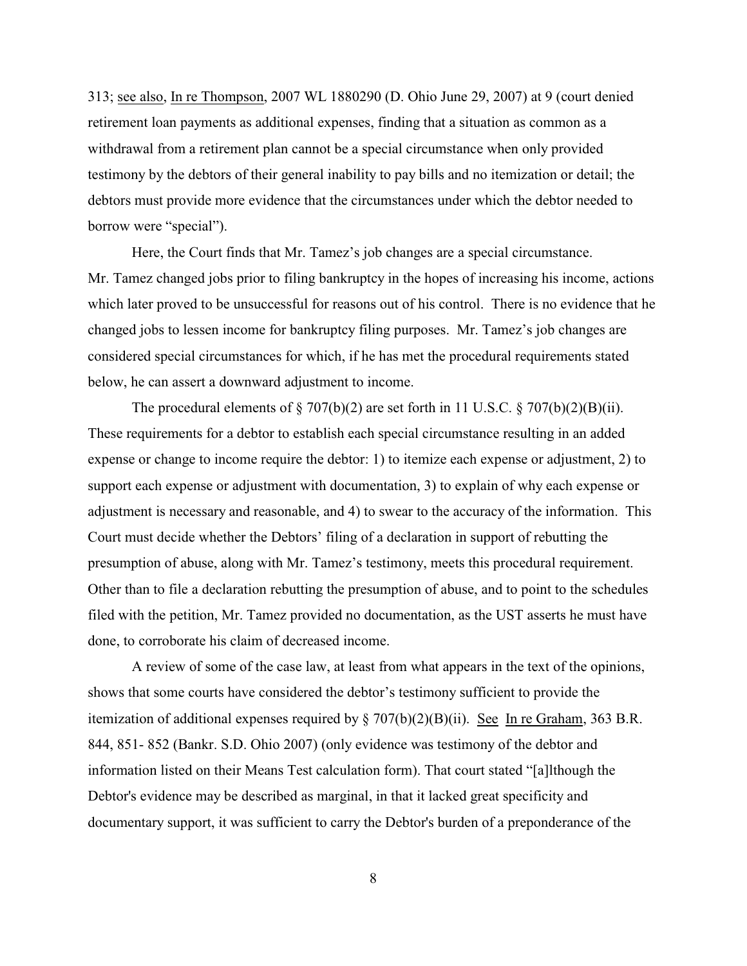313; see also, In re Thompson, 2007 WL 1880290 (D. Ohio June 29, 2007) at 9 (court denied retirement loan payments as additional expenses, finding that a situation as common as a withdrawal from a retirement plan cannot be a special circumstance when only provided testimony by the debtors of their general inability to pay bills and no itemization or detail; the debtors must provide more evidence that the circumstances under which the debtor needed to borrow were "special").

Here, the Court finds that Mr. Tamez's job changes are a special circumstance. Mr. Tamez changed jobs prior to filing bankruptcy in the hopes of increasing his income, actions which later proved to be unsuccessful for reasons out of his control. There is no evidence that he changed jobs to lessen income for bankruptcy filing purposes. Mr. Tamez's job changes are considered special circumstances for which, if he has met the procedural requirements stated below, he can assert a downward adjustment to income.

The procedural elements of  $\S 707(b)(2)$  are set forth in 11 U.S.C.  $\S 707(b)(2)(B)(ii)$ . These requirements for a debtor to establish each special circumstance resulting in an added expense or change to income require the debtor: 1) to itemize each expense or adjustment, 2) to support each expense or adjustment with documentation, 3) to explain of why each expense or adjustment is necessary and reasonable, and 4) to swear to the accuracy of the information. This Court must decide whether the Debtors' filing of a declaration in support of rebutting the presumption of abuse, along with Mr. Tamez's testimony, meets this procedural requirement. Other than to file a declaration rebutting the presumption of abuse, and to point to the schedules filed with the petition, Mr. Tamez provided no documentation, as the UST asserts he must have done, to corroborate his claim of decreased income.

A review of some of the case law, at least from what appears in the text of the opinions, shows that some courts have considered the debtor's testimony sufficient to provide the itemization of additional expenses required by  $\S 707(b)(2)(B)(ii)$ . See In re Graham, 363 B.R. 844, 851- 852 (Bankr. S.D. Ohio 2007) (only evidence was testimony of the debtor and information listed on their Means Test calculation form). That court stated "[a]lthough the Debtor's evidence may be described as marginal, in that it lacked great specificity and documentary support, it was sufficient to carry the Debtor's burden of a preponderance of the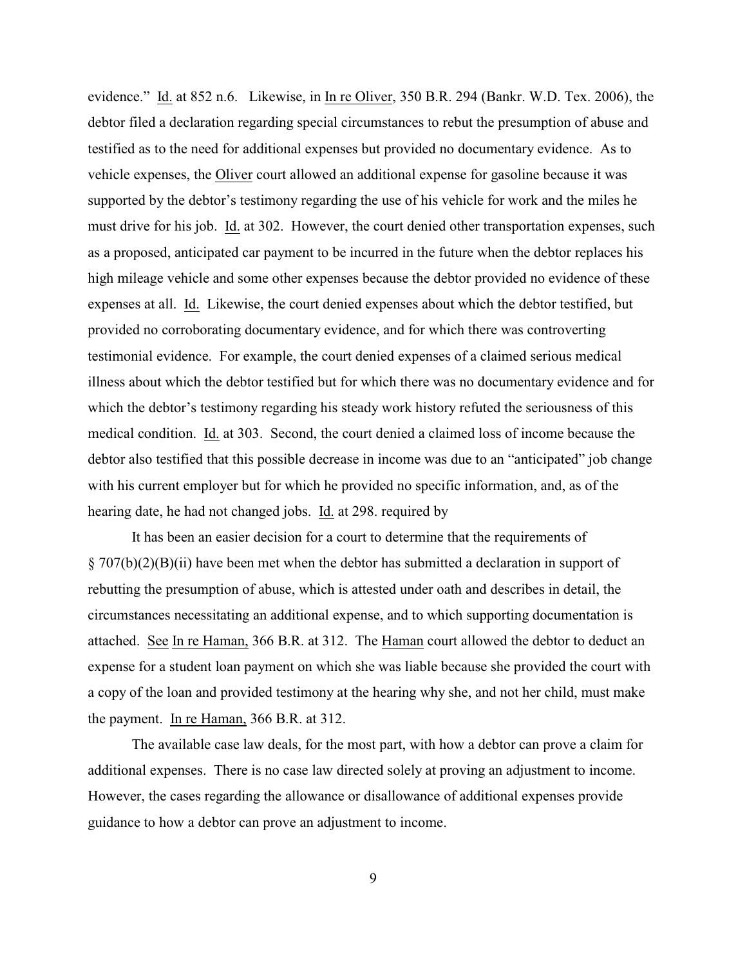evidence." Id. at 852 n.6. Likewise, in In re Oliver, 350 B.R. 294 (Bankr. W.D. Tex. 2006), the debtor filed a declaration regarding special circumstances to rebut the presumption of abuse and testified as to the need for additional expenses but provided no documentary evidence. As to vehicle expenses, the Oliver court allowed an additional expense for gasoline because it was supported by the debtor's testimony regarding the use of his vehicle for work and the miles he must drive for his job. Id. at 302. However, the court denied other transportation expenses, such as a proposed, anticipated car payment to be incurred in the future when the debtor replaces his high mileage vehicle and some other expenses because the debtor provided no evidence of these expenses at all. Id. Likewise, the court denied expenses about which the debtor testified, but provided no corroborating documentary evidence, and for which there was controverting testimonial evidence. For example, the court denied expenses of a claimed serious medical illness about which the debtor testified but for which there was no documentary evidence and for which the debtor's testimony regarding his steady work history refuted the seriousness of this medical condition. Id. at 303. Second, the court denied a claimed loss of income because the debtor also testified that this possible decrease in income was due to an "anticipated" job change with his current employer but for which he provided no specific information, and, as of the hearing date, he had not changed jobs. Id. at 298. required by

It has been an easier decision for a court to determine that the requirements of § 707(b)(2)(B)(ii) have been met when the debtor has submitted a declaration in support of rebutting the presumption of abuse, which is attested under oath and describes in detail, the circumstances necessitating an additional expense, and to which supporting documentation is attached. See In re Haman, 366 B.R. at 312. The Haman court allowed the debtor to deduct an expense for a student loan payment on which she was liable because she provided the court with a copy of the loan and provided testimony at the hearing why she, and not her child, must make the payment. In re Haman, 366 B.R. at 312.

The available case law deals, for the most part, with how a debtor can prove a claim for additional expenses. There is no case law directed solely at proving an adjustment to income. However, the cases regarding the allowance or disallowance of additional expenses provide guidance to how a debtor can prove an adjustment to income.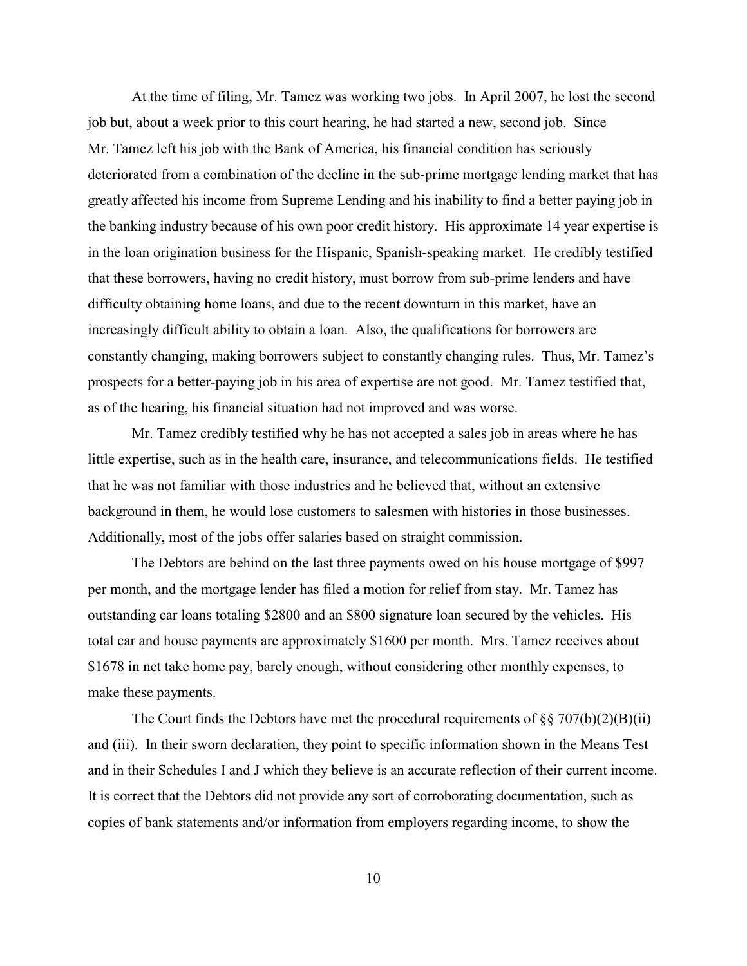At the time of filing, Mr. Tamez was working two jobs. In April 2007, he lost the second job but, about a week prior to this court hearing, he had started a new, second job. Since Mr. Tamez left his job with the Bank of America, his financial condition has seriously deteriorated from a combination of the decline in the sub-prime mortgage lending market that has greatly affected his income from Supreme Lending and his inability to find a better paying job in the banking industry because of his own poor credit history. His approximate 14 year expertise is in the loan origination business for the Hispanic, Spanish-speaking market. He credibly testified that these borrowers, having no credit history, must borrow from sub-prime lenders and have difficulty obtaining home loans, and due to the recent downturn in this market, have an increasingly difficult ability to obtain a loan. Also, the qualifications for borrowers are constantly changing, making borrowers subject to constantly changing rules. Thus, Mr. Tamez's prospects for a better-paying job in his area of expertise are not good. Mr. Tamez testified that, as of the hearing, his financial situation had not improved and was worse.

Mr. Tamez credibly testified why he has not accepted a sales job in areas where he has little expertise, such as in the health care, insurance, and telecommunications fields. He testified that he was not familiar with those industries and he believed that, without an extensive background in them, he would lose customers to salesmen with histories in those businesses. Additionally, most of the jobs offer salaries based on straight commission.

 The Debtors are behind on the last three payments owed on his house mortgage of \$997 per month, and the mortgage lender has filed a motion for relief from stay. Mr. Tamez has outstanding car loans totaling \$2800 and an \$800 signature loan secured by the vehicles. His total car and house payments are approximately \$1600 per month. Mrs. Tamez receives about \$1678 in net take home pay, barely enough, without considering other monthly expenses, to make these payments.

The Court finds the Debtors have met the procedural requirements of  $\S$ § 707(b)(2)(B)(ii) and (iii). In their sworn declaration, they point to specific information shown in the Means Test and in their Schedules I and J which they believe is an accurate reflection of their current income. It is correct that the Debtors did not provide any sort of corroborating documentation, such as copies of bank statements and/or information from employers regarding income, to show the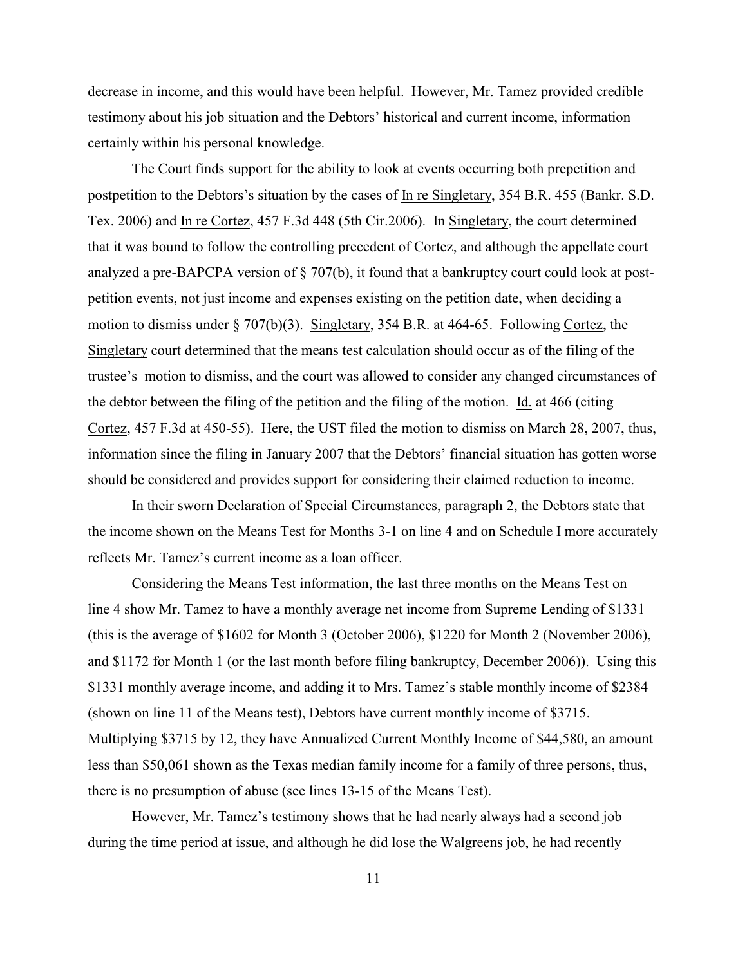decrease in income, and this would have been helpful. However, Mr. Tamez provided credible testimony about his job situation and the Debtors' historical and current income, information certainly within his personal knowledge.

The Court finds support for the ability to look at events occurring both prepetition and postpetition to the Debtors's situation by the cases of In re Singletary, 354 B.R. 455 (Bankr. S.D. Tex. 2006) and In re Cortez, 457 F.3d 448 (5th Cir.2006). In Singletary, the court determined that it was bound to follow the controlling precedent of Cortez, and although the appellate court analyzed a pre-BAPCPA version of § 707(b), it found that a bankruptcy court could look at postpetition events, not just income and expenses existing on the petition date, when deciding a motion to dismiss under § 707(b)(3). Singletary, 354 B.R. at 464-65. Following Cortez, the Singletary court determined that the means test calculation should occur as of the filing of the trustee's motion to dismiss, and the court was allowed to consider any changed circumstances of the debtor between the filing of the petition and the filing of the motion. Id. at 466 (citing Cortez, 457 F.3d at 450-55). Here, the UST filed the motion to dismiss on March 28, 2007, thus, information since the filing in January 2007 that the Debtors' financial situation has gotten worse should be considered and provides support for considering their claimed reduction to income.

In their sworn Declaration of Special Circumstances, paragraph 2, the Debtors state that the income shown on the Means Test for Months 3-1 on line 4 and on Schedule I more accurately reflects Mr. Tamez's current income as a loan officer.

Considering the Means Test information, the last three months on the Means Test on line 4 show Mr. Tamez to have a monthly average net income from Supreme Lending of \$1331 (this is the average of \$1602 for Month 3 (October 2006), \$1220 for Month 2 (November 2006), and \$1172 for Month 1 (or the last month before filing bankruptcy, December 2006)). Using this \$1331 monthly average income, and adding it to Mrs. Tamez's stable monthly income of \$2384 (shown on line 11 of the Means test), Debtors have current monthly income of \$3715. Multiplying \$3715 by 12, they have Annualized Current Monthly Income of \$44,580, an amount less than \$50,061 shown as the Texas median family income for a family of three persons, thus, there is no presumption of abuse (see lines 13-15 of the Means Test).

However, Mr. Tamez's testimony shows that he had nearly always had a second job during the time period at issue, and although he did lose the Walgreens job, he had recently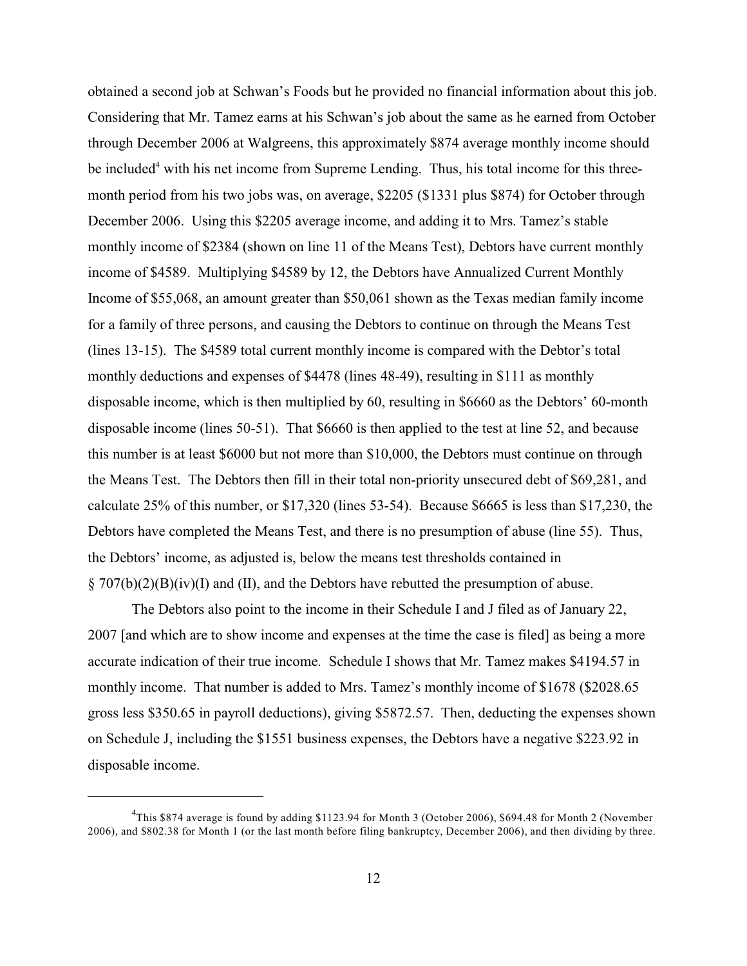obtained a second job at Schwan's Foods but he provided no financial information about this job. Considering that Mr. Tamez earns at his Schwan's job about the same as he earned from October through December 2006 at Walgreens, this approximately \$874 average monthly income should be included<sup>4</sup> with his net income from Supreme Lending. Thus, his total income for this threemonth period from his two jobs was, on average, \$2205 (\$1331 plus \$874) for October through December 2006. Using this \$2205 average income, and adding it to Mrs. Tamez's stable monthly income of \$2384 (shown on line 11 of the Means Test), Debtors have current monthly income of \$4589. Multiplying \$4589 by 12, the Debtors have Annualized Current Monthly Income of \$55,068, an amount greater than \$50,061 shown as the Texas median family income for a family of three persons, and causing the Debtors to continue on through the Means Test (lines 13-15). The \$4589 total current monthly income is compared with the Debtor's total monthly deductions and expenses of \$4478 (lines 48-49), resulting in \$111 as monthly disposable income, which is then multiplied by 60, resulting in \$6660 as the Debtors' 60-month disposable income (lines 50-51). That \$6660 is then applied to the test at line 52, and because this number is at least \$6000 but not more than \$10,000, the Debtors must continue on through the Means Test. The Debtors then fill in their total non-priority unsecured debt of \$69,281, and calculate 25% of this number, or \$17,320 (lines 53-54). Because \$6665 is less than \$17,230, the Debtors have completed the Means Test, and there is no presumption of abuse (line 55). Thus, the Debtors' income, as adjusted is, below the means test thresholds contained in  $\S$  707(b)(2)(B)(iv)(I) and (II), and the Debtors have rebutted the presumption of abuse.

The Debtors also point to the income in their Schedule I and J filed as of January 22, 2007 [and which are to show income and expenses at the time the case is filed] as being a more accurate indication of their true income. Schedule I shows that Mr. Tamez makes \$4194.57 in monthly income. That number is added to Mrs. Tamez's monthly income of \$1678 (\$2028.65 gross less \$350.65 in payroll deductions), giving \$5872.57. Then, deducting the expenses shown on Schedule J, including the \$1551 business expenses, the Debtors have a negative \$223.92 in disposable income.

 $^{4}$ This \$874 average is found by adding \$1123.94 for Month 3 (October 2006), \$694.48 for Month 2 (November 2006), and \$802.38 for Month 1 (or the last month before filing bankruptcy, December 2006), and then dividing by three.